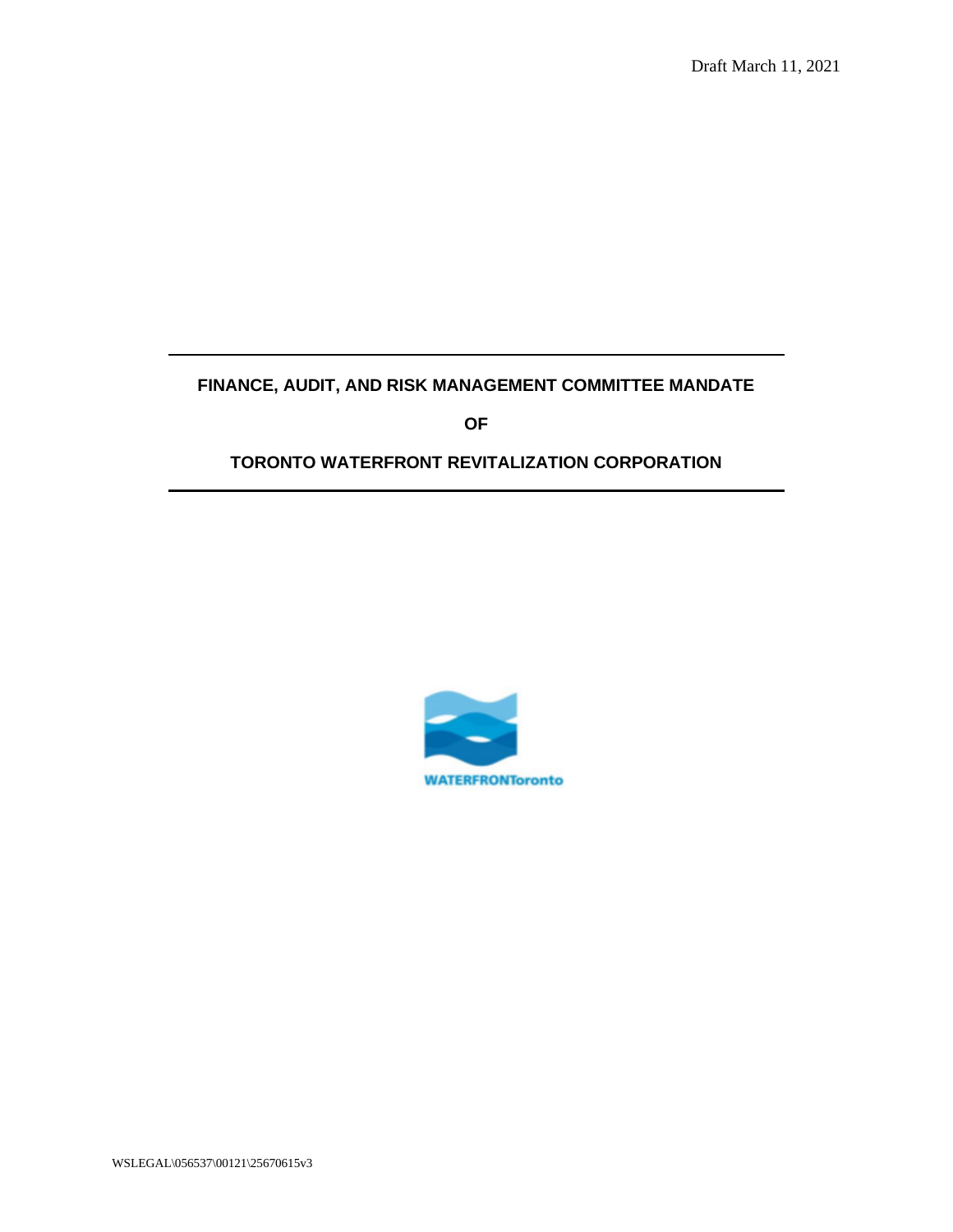# **FINANCE, AUDIT, AND RISK MANAGEMENT COMMITTEE MANDATE**

**OF**

# **TORONTO WATERFRONT REVITALIZATION CORPORATION**



WSLEGAL\056537\00121\25670615v3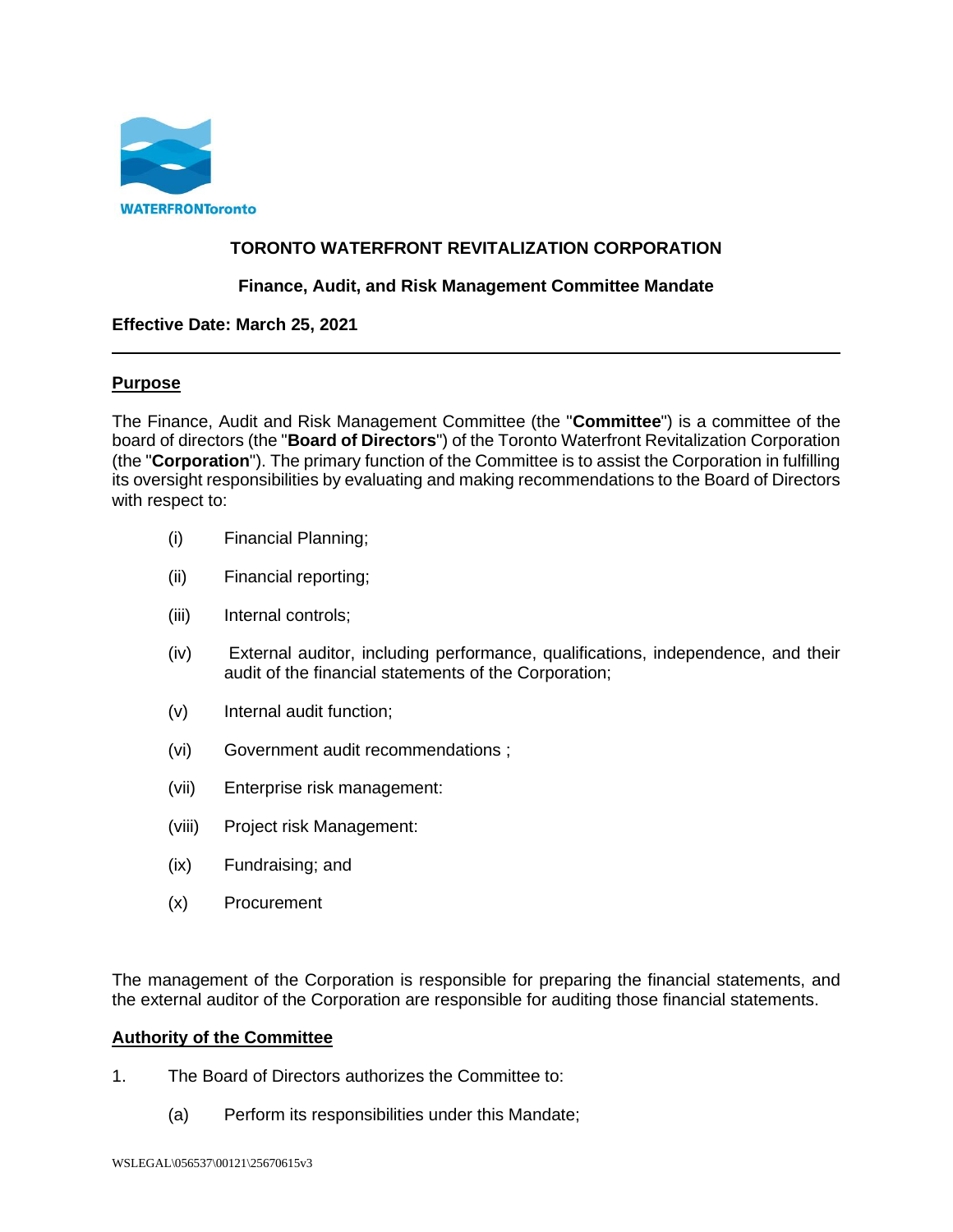

# **TORONTO WATERFRONT REVITALIZATION CORPORATION**

## **Finance, Audit, and Risk Management Committee Mandate**

### **Effective Date: March 25, 2021**

### **Purpose**

The Finance, Audit and Risk Management Committee (the "**Committee**") is a committee of the board of directors (the "**Board of Directors**") of the Toronto Waterfront Revitalization Corporation (the "**Corporation**"). The primary function of the Committee is to assist the Corporation in fulfilling its oversight responsibilities by evaluating and making recommendations to the Board of Directors with respect to:

- (i) Financial Planning;
- (ii) Financial reporting;
- (iii) Internal controls;
- (iv) External auditor, including performance, qualifications, independence, and their audit of the financial statements of the Corporation;
- (v) Internal audit function;
- (vi) Government audit recommendations ;
- (vii) Enterprise risk management:
- (viii) Project risk Management:
- (ix) Fundraising; and
- (x) Procurement

The management of the Corporation is responsible for preparing the financial statements, and the external auditor of the Corporation are responsible for auditing those financial statements.

### **Authority of the Committee**

- 1. The Board of Directors authorizes the Committee to:
	- (a) Perform its responsibilities under this Mandate;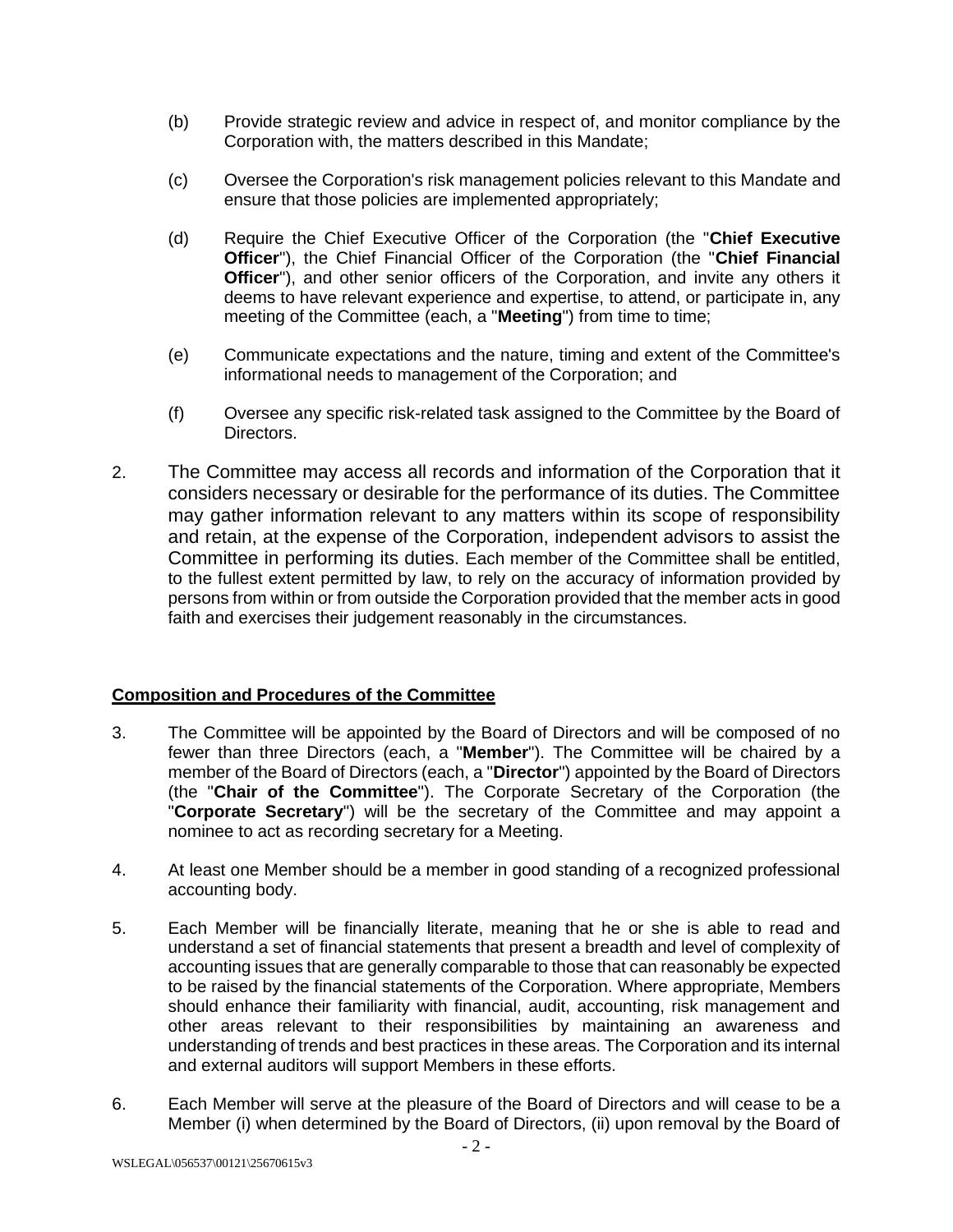- (b) Provide strategic review and advice in respect of, and monitor compliance by the Corporation with, the matters described in this Mandate;
- (c) Oversee the Corporation's risk management policies relevant to this Mandate and ensure that those policies are implemented appropriately;
- (d) Require the Chief Executive Officer of the Corporation (the "**Chief Executive Officer**"), the Chief Financial Officer of the Corporation (the "**Chief Financial Officer**"), and other senior officers of the Corporation, and invite any others it deems to have relevant experience and expertise, to attend, or participate in, any meeting of the Committee (each, a "**Meeting**") from time to time;
- (e) Communicate expectations and the nature, timing and extent of the Committee's informational needs to management of the Corporation; and
- (f) Oversee any specific risk-related task assigned to the Committee by the Board of Directors.
- 2. The Committee may access all records and information of the Corporation that it considers necessary or desirable for the performance of its duties. The Committee may gather information relevant to any matters within its scope of responsibility and retain, at the expense of the Corporation, independent advisors to assist the Committee in performing its duties. Each member of the Committee shall be entitled, to the fullest extent permitted by law, to rely on the accuracy of information provided by persons from within or from outside the Corporation provided that the member acts in good faith and exercises their judgement reasonably in the circumstances.

### **Composition and Procedures of the Committee**

- 3. The Committee will be appointed by the Board of Directors and will be composed of no fewer than three Directors (each, a "**Member**"). The Committee will be chaired by a member of the Board of Directors (each, a "**Director**") appointed by the Board of Directors (the "**Chair of the Committee**"). The Corporate Secretary of the Corporation (the "**Corporate Secretary**") will be the secretary of the Committee and may appoint a nominee to act as recording secretary for a Meeting.
- 4. At least one Member should be a member in good standing of a recognized professional accounting body.
- 5. Each Member will be financially literate, meaning that he or she is able to read and understand a set of financial statements that present a breadth and level of complexity of accounting issues that are generally comparable to those that can reasonably be expected to be raised by the financial statements of the Corporation. Where appropriate, Members should enhance their familiarity with financial, audit, accounting, risk management and other areas relevant to their responsibilities by maintaining an awareness and understanding of trends and best practices in these areas. The Corporation and its internal and external auditors will support Members in these efforts.
- 6. Each Member will serve at the pleasure of the Board of Directors and will cease to be a Member (i) when determined by the Board of Directors, (ii) upon removal by the Board of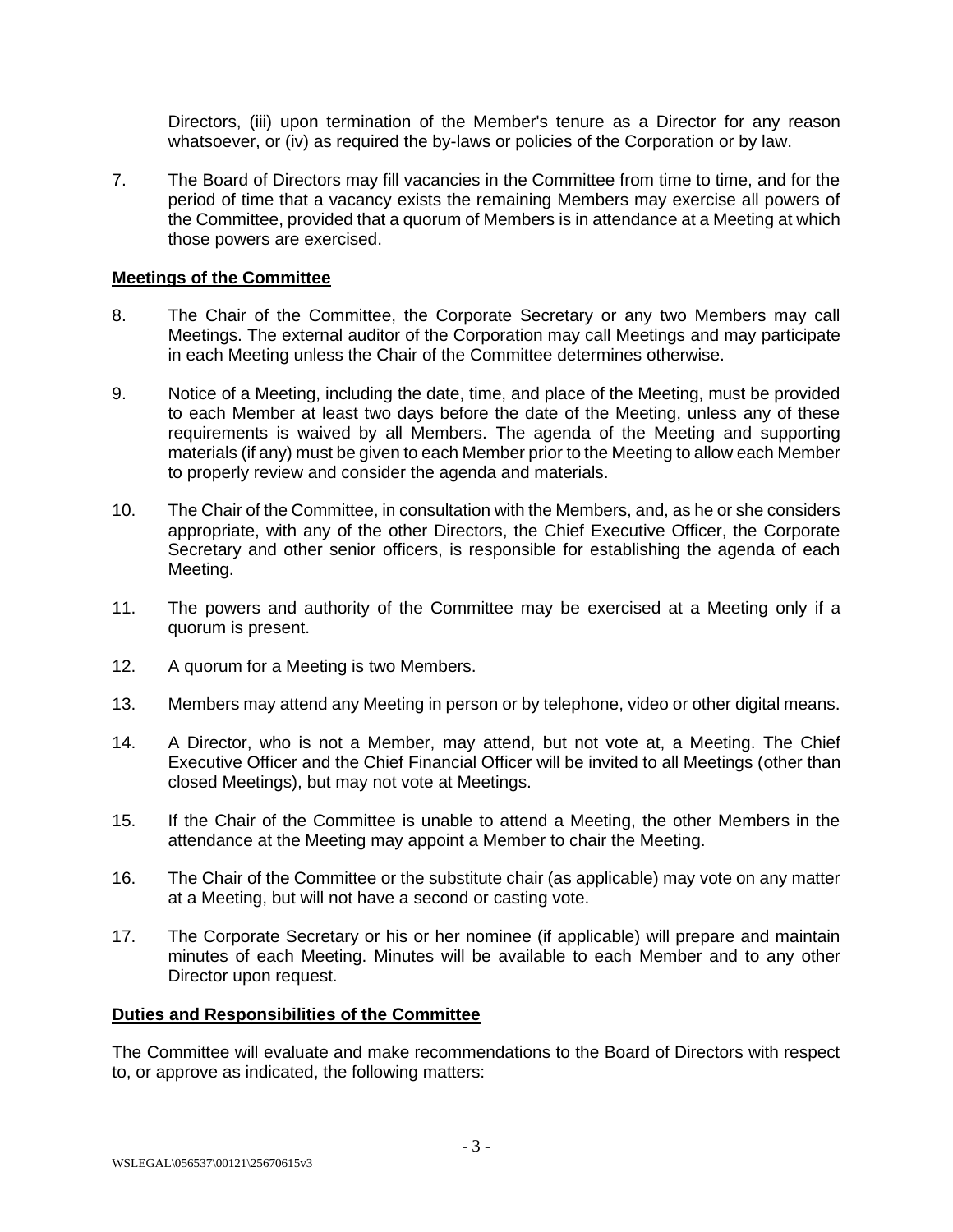Directors, (iii) upon termination of the Member's tenure as a Director for any reason whatsoever, or (iv) as required the by-laws or policies of the Corporation or by law.

7. The Board of Directors may fill vacancies in the Committee from time to time, and for the period of time that a vacancy exists the remaining Members may exercise all powers of the Committee, provided that a quorum of Members is in attendance at a Meeting at which those powers are exercised.

## **Meetings of the Committee**

- 8. The Chair of the Committee, the Corporate Secretary or any two Members may call Meetings. The external auditor of the Corporation may call Meetings and may participate in each Meeting unless the Chair of the Committee determines otherwise.
- 9. Notice of a Meeting, including the date, time, and place of the Meeting, must be provided to each Member at least two days before the date of the Meeting, unless any of these requirements is waived by all Members. The agenda of the Meeting and supporting materials (if any) must be given to each Member prior to the Meeting to allow each Member to properly review and consider the agenda and materials.
- 10. The Chair of the Committee, in consultation with the Members, and, as he or she considers appropriate, with any of the other Directors, the Chief Executive Officer, the Corporate Secretary and other senior officers, is responsible for establishing the agenda of each Meeting.
- 11. The powers and authority of the Committee may be exercised at a Meeting only if a quorum is present.
- 12. A quorum for a Meeting is two Members.
- 13. Members may attend any Meeting in person or by telephone, video or other digital means.
- 14. A Director, who is not a Member, may attend, but not vote at, a Meeting. The Chief Executive Officer and the Chief Financial Officer will be invited to all Meetings (other than closed Meetings), but may not vote at Meetings.
- 15. If the Chair of the Committee is unable to attend a Meeting, the other Members in the attendance at the Meeting may appoint a Member to chair the Meeting.
- 16. The Chair of the Committee or the substitute chair (as applicable) may vote on any matter at a Meeting, but will not have a second or casting vote.
- 17. The Corporate Secretary or his or her nominee (if applicable) will prepare and maintain minutes of each Meeting. Minutes will be available to each Member and to any other Director upon request.

### **Duties and Responsibilities of the Committee**

The Committee will evaluate and make recommendations to the Board of Directors with respect to, or approve as indicated, the following matters: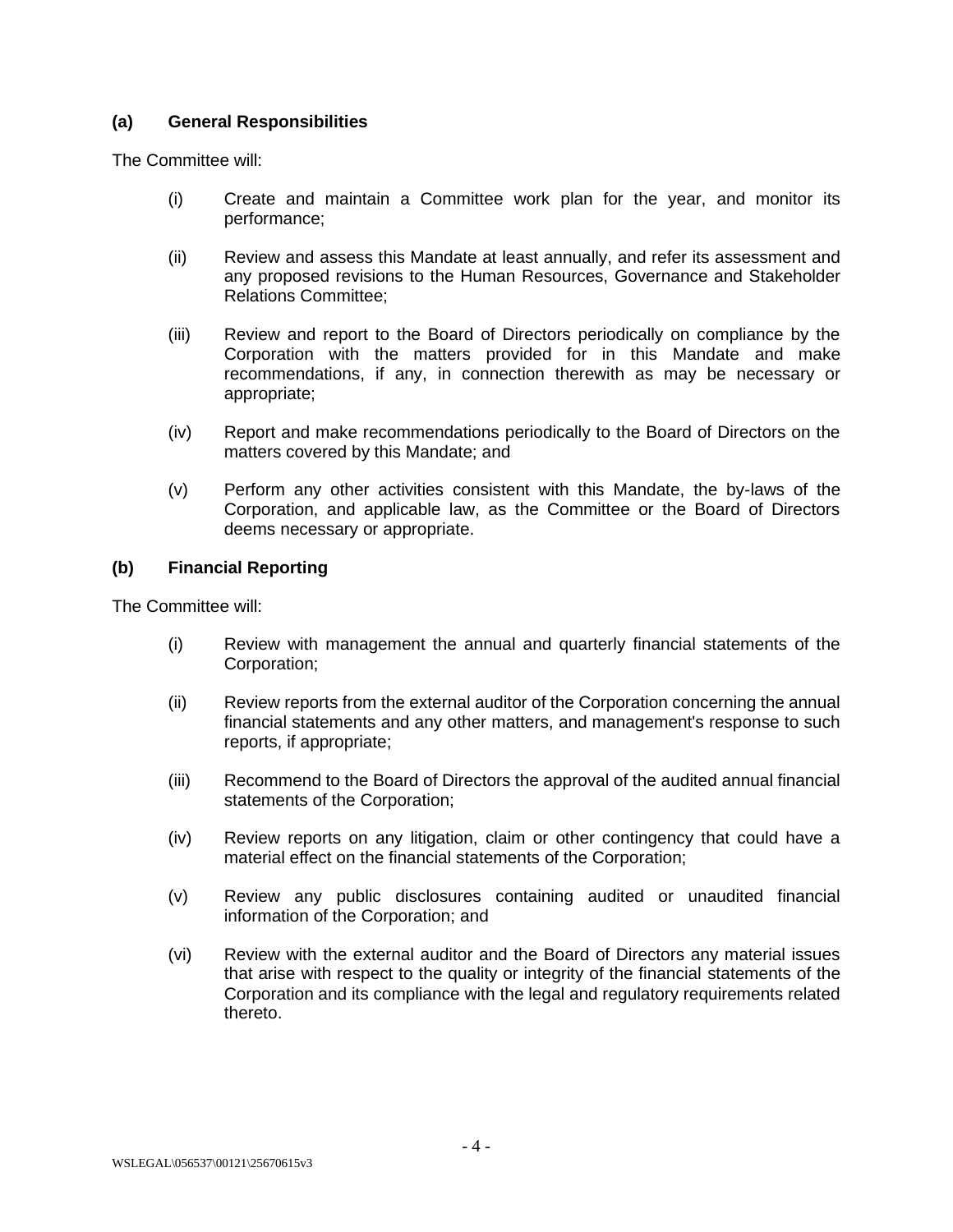# **(a) General Responsibilities**

The Committee will:

- (i) Create and maintain a Committee work plan for the year, and monitor its performance;
- (ii) Review and assess this Mandate at least annually, and refer its assessment and any proposed revisions to the Human Resources, Governance and Stakeholder Relations Committee;
- (iii) Review and report to the Board of Directors periodically on compliance by the Corporation with the matters provided for in this Mandate and make recommendations, if any, in connection therewith as may be necessary or appropriate;
- (iv) Report and make recommendations periodically to the Board of Directors on the matters covered by this Mandate; and
- (v) Perform any other activities consistent with this Mandate, the by-laws of the Corporation, and applicable law, as the Committee or the Board of Directors deems necessary or appropriate.

# **(b) Financial Reporting**

The Committee will:

- (i) Review with management the annual and quarterly financial statements of the Corporation;
- (ii) Review reports from the external auditor of the Corporation concerning the annual financial statements and any other matters, and management's response to such reports, if appropriate;
- (iii) Recommend to the Board of Directors the approval of the audited annual financial statements of the Corporation;
- (iv) Review reports on any litigation, claim or other contingency that could have a material effect on the financial statements of the Corporation;
- (v) Review any public disclosures containing audited or unaudited financial information of the Corporation; and
- (vi) Review with the external auditor and the Board of Directors any material issues that arise with respect to the quality or integrity of the financial statements of the Corporation and its compliance with the legal and regulatory requirements related thereto.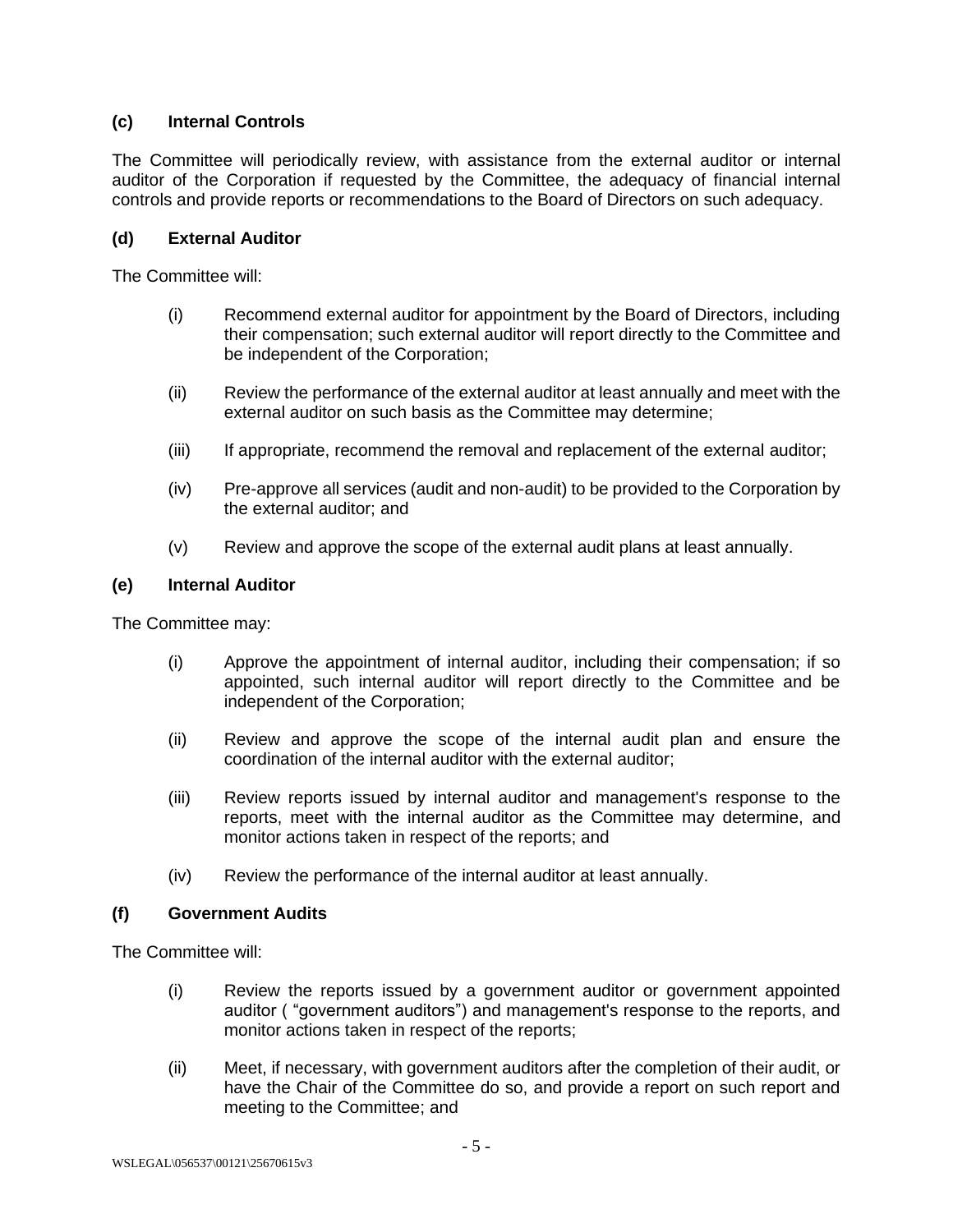# **(c) Internal Controls**

The Committee will periodically review, with assistance from the external auditor or internal auditor of the Corporation if requested by the Committee, the adequacy of financial internal controls and provide reports or recommendations to the Board of Directors on such adequacy.

# **(d) External Auditor**

The Committee will:

- (i) Recommend external auditor for appointment by the Board of Directors, including their compensation; such external auditor will report directly to the Committee and be independent of the Corporation;
- (ii) Review the performance of the external auditor at least annually and meet with the external auditor on such basis as the Committee may determine;
- (iii) If appropriate, recommend the removal and replacement of the external auditor;
- (iv) Pre-approve all services (audit and non-audit) to be provided to the Corporation by the external auditor; and
- (v) Review and approve the scope of the external audit plans at least annually.

### **(e) Internal Auditor**

The Committee may:

- (i) Approve the appointment of internal auditor, including their compensation; if so appointed, such internal auditor will report directly to the Committee and be independent of the Corporation;
- (ii) Review and approve the scope of the internal audit plan and ensure the coordination of the internal auditor with the external auditor;
- (iii) Review reports issued by internal auditor and management's response to the reports, meet with the internal auditor as the Committee may determine, and monitor actions taken in respect of the reports; and
- (iv) Review the performance of the internal auditor at least annually.

# **(f) Government Audits**

The Committee will:

- (i) Review the reports issued by a government auditor or government appointed auditor ( "government auditors") and management's response to the reports, and monitor actions taken in respect of the reports;
- (ii) Meet, if necessary, with government auditors after the completion of their audit, or have the Chair of the Committee do so, and provide a report on such report and meeting to the Committee; and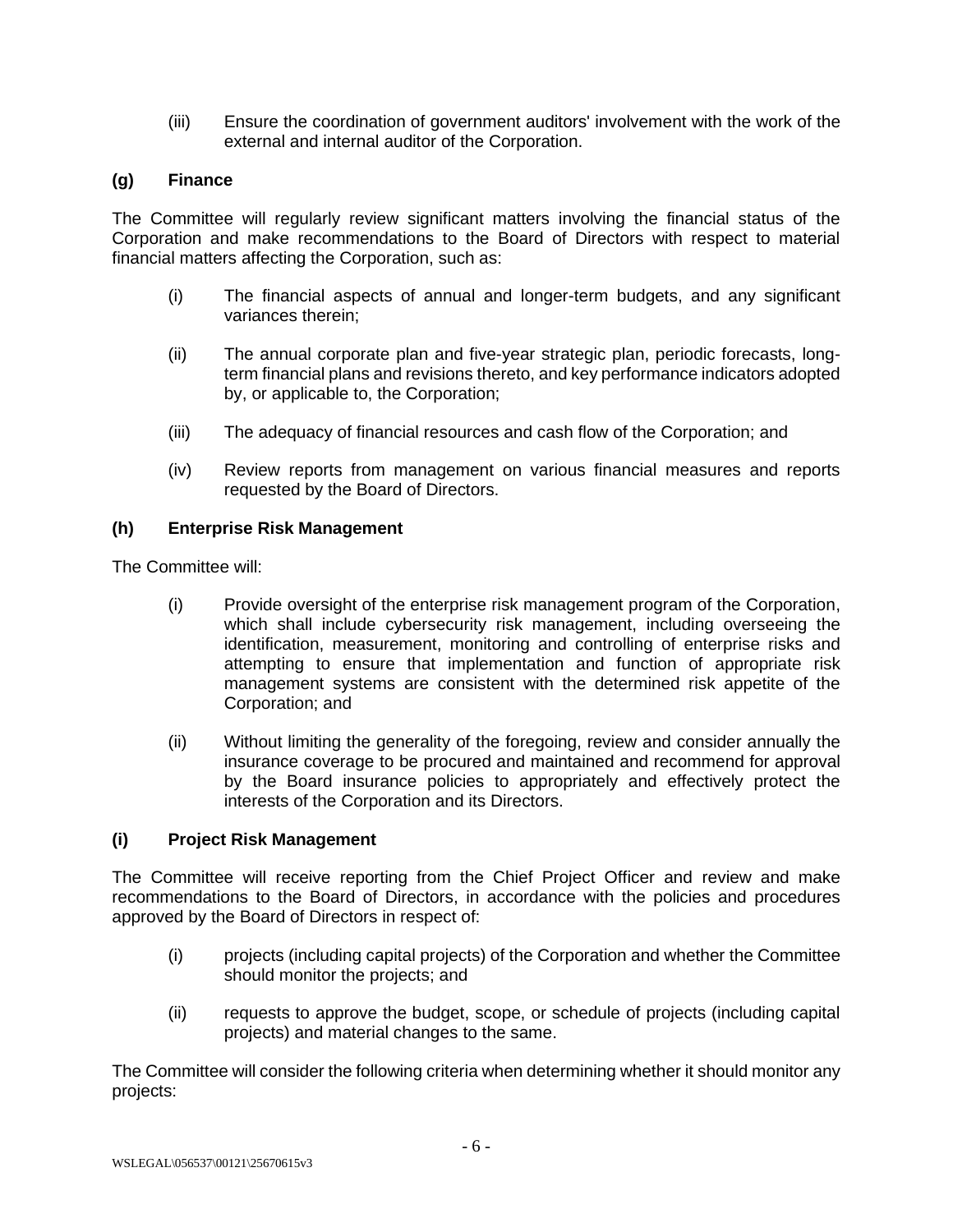(iii) Ensure the coordination of government auditors' involvement with the work of the external and internal auditor of the Corporation.

# **(g) Finance**

The Committee will regularly review significant matters involving the financial status of the Corporation and make recommendations to the Board of Directors with respect to material financial matters affecting the Corporation, such as:

- (i) The financial aspects of annual and longer-term budgets, and any significant variances therein;
- (ii) The annual corporate plan and five-year strategic plan, periodic forecasts, longterm financial plans and revisions thereto, and key performance indicators adopted by, or applicable to, the Corporation;
- (iii) The adequacy of financial resources and cash flow of the Corporation; and
- (iv) Review reports from management on various financial measures and reports requested by the Board of Directors.

### **(h) Enterprise Risk Management**

The Committee will:

- (i) Provide oversight of the enterprise risk management program of the Corporation, which shall include cybersecurity risk management, including overseeing the identification, measurement, monitoring and controlling of enterprise risks and attempting to ensure that implementation and function of appropriate risk management systems are consistent with the determined risk appetite of the Corporation; and
- (ii) Without limiting the generality of the foregoing, review and consider annually the insurance coverage to be procured and maintained and recommend for approval by the Board insurance policies to appropriately and effectively protect the interests of the Corporation and its Directors.

### **(i) Project Risk Management**

The Committee will receive reporting from the Chief Project Officer and review and make recommendations to the Board of Directors, in accordance with the policies and procedures approved by the Board of Directors in respect of:

- (i) projects (including capital projects) of the Corporation and whether the Committee should monitor the projects; and
- (ii) requests to approve the budget, scope, or schedule of projects (including capital projects) and material changes to the same.

The Committee will consider the following criteria when determining whether it should monitor any projects: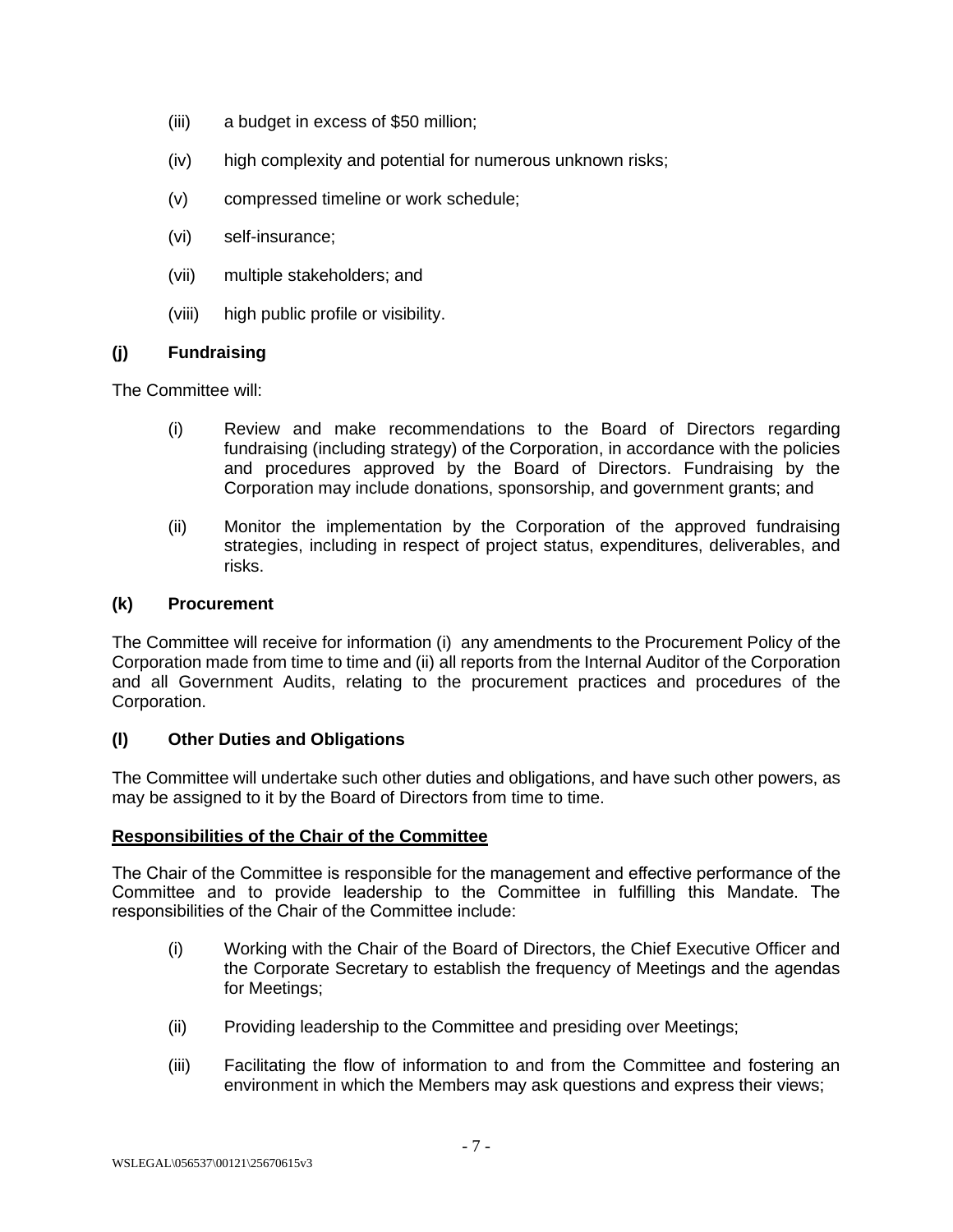- (iii) a budget in excess of \$50 million;
- (iv) high complexity and potential for numerous unknown risks;
- (v) compressed timeline or work schedule;
- (vi) self-insurance;
- (vii) multiple stakeholders; and
- (viii) high public profile or visibility.

# **(j) Fundraising**

The Committee will:

- (i) Review and make recommendations to the Board of Directors regarding fundraising (including strategy) of the Corporation, in accordance with the policies and procedures approved by the Board of Directors. Fundraising by the Corporation may include donations, sponsorship, and government grants; and
- (ii) Monitor the implementation by the Corporation of the approved fundraising strategies, including in respect of project status, expenditures, deliverables, and risks.

### **(k) Procurement**

The Committee will receive for information (i) any amendments to the Procurement Policy of the Corporation made from time to time and (ii) all reports from the Internal Auditor of the Corporation and all Government Audits, relating to the procurement practices and procedures of the Corporation.

# **(l) Other Duties and Obligations**

The Committee will undertake such other duties and obligations, and have such other powers, as may be assigned to it by the Board of Directors from time to time.

### **Responsibilities of the Chair of the Committee**

The Chair of the Committee is responsible for the management and effective performance of the Committee and to provide leadership to the Committee in fulfilling this Mandate. The responsibilities of the Chair of the Committee include:

- (i) Working with the Chair of the Board of Directors, the Chief Executive Officer and the Corporate Secretary to establish the frequency of Meetings and the agendas for Meetings;
- (ii) Providing leadership to the Committee and presiding over Meetings;
- (iii) Facilitating the flow of information to and from the Committee and fostering an environment in which the Members may ask questions and express their views;